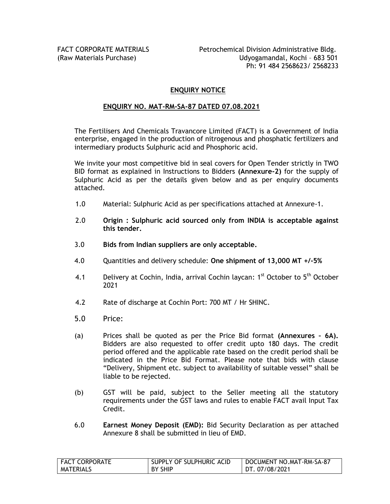#### **ENQUIRY NOTICE**

#### **ENQUIRY NO. MAT-RM-SA-87 DATED 07.08.2021**

The Fertilisers And Chemicals Travancore Limited (FACT) is a Government of India enterprise, engaged in the production of nitrogenous and phosphatic fertilizers and intermediary products Sulphuric acid and Phosphoric acid.

We invite your most competitive bid in seal covers for Open Tender strictly in TWO BID format as explained in Instructions to Bidders **(Annexure-2)** for the supply of Sulphuric Acid as per the details given below and as per enquiry documents attached.

- 1.0 Material: Sulphuric Acid as per specifications attached at Annexure-1.
- 2.0 **Origin : Sulphuric acid sourced only from INDIA is acceptable against this tender.**
- 3.0 **Bids from Indian suppliers are only acceptable.**
- 4.0 Quantities and delivery schedule: **One shipment of 13,000 MT +/-5%**
- 4.1 Delivery at Cochin, India, arrival Cochin laycan: 1<sup>st</sup> October to 5<sup>th</sup> October 2021
- 4.2 Rate of discharge at Cochin Port: 700 MT / Hr SHINC.
- 5.0 Price:
- (a) Prices shall be quoted as per the Price Bid format **(Annexures – 6A).** Bidders are also requested to offer credit upto 180 days. The credit period offered and the applicable rate based on the credit period shall be indicated in the Price Bid Format. Please note that bids with clause "Delivery, Shipment etc. subject to availability of suitable vessel" shall be liable to be rejected.
- (b) GST will be paid, subject to the Seller meeting all the statutory requirements under the GST laws and rules to enable FACT avail Input Tax Credit.
- 6.0 **Earnest Money Deposit (EMD):** Bid Security Declaration as per attached Annexure 8 shall be submitted in lieu of EMD.

| <b>FACT CORPORATE</b> | SUPPLY OF SULPHURIC ACID | DOCUMENT NO.MAT-RM-SA-87 |
|-----------------------|--------------------------|--------------------------|
| MATERIALS             | I BY SHIP                | l DT. 07/08/2021         |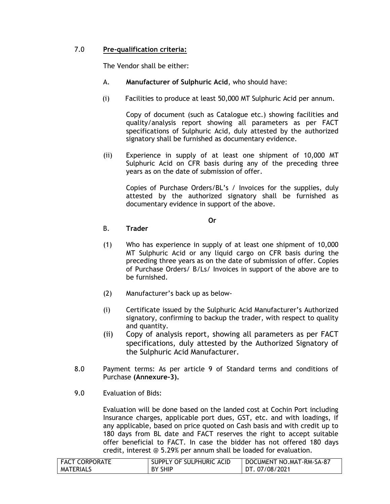## 7.0 **Pre-qualification criteria:**

The Vendor shall be either:

- A. **Manufacturer of Sulphuric Acid**, who should have:
- (i) Facilities to produce at least 50,000 MT Sulphuric Acid per annum.

Copy of document (such as Catalogue etc.) showing facilities and quality/analysis report showing all parameters as per FACT specifications of Sulphuric Acid, duly attested by the authorized signatory shall be furnished as documentary evidence.

(ii) Experience in supply of at least one shipment of 10,000 MT Sulphuric Acid on CFR basis during any of the preceding three years as on the date of submission of offer.

Copies of Purchase Orders/BL"s / Invoices for the supplies, duly attested by the authorized signatory shall be furnished as documentary evidence in support of the above.

**Or**

#### B. **Trader**

- (1) Who has experience in supply of at least one shipment of 10,000 MT Sulphuric Acid or any liquid cargo on CFR basis during the preceding three years as on the date of submission of offer. Copies of Purchase Orders/ B/Ls/ Invoices in support of the above are to be furnished.
- (2) Manufacturer"s back up as below-
- (i) Certificate issued by the Sulphuric Acid Manufacturer"s Authorized signatory, confirming to backup the trader, with respect to quality and quantity.
- (ii) Copy of analysis report, showing all parameters as per FACT specifications, duly attested by the Authorized Signatory of the Sulphuric Acid Manufacturer.
- 8.0 Payment terms: As per article 9 of Standard terms and conditions of Purchase **(Annexure-3).**
- 9.0 Evaluation of Bids:

Evaluation will be done based on the landed cost at Cochin Port including Insurance charges, applicable port dues, GST, etc. and with loadings, if any applicable, based on price quoted on Cash basis and with credit up to 180 days from BL date and FACT reserves the right to accept suitable offer beneficial to FACT. In case the bidder has not offered 180 days credit, interest @ 5.29% per annum shall be loaded for evaluation.

| FACT CORPORATE   | SUPPLY OF SULPHURIC ACID | DOCUMENT NO.MAT-RM-SA-87 |
|------------------|--------------------------|--------------------------|
| <b>MATERIALS</b> | <b>BY SHIP</b>           | DT. 07/08/2021           |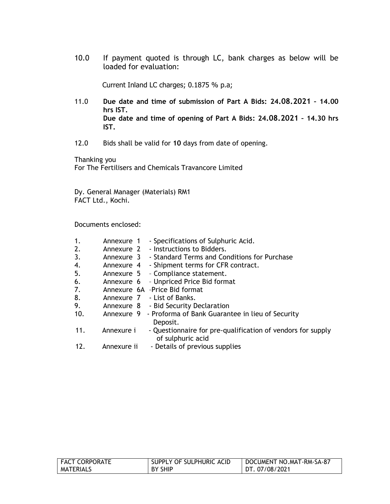10.0 If payment quoted is through LC, bank charges as below will be loaded for evaluation:

Current Inland LC charges; 0.1875 % p.a;

- 11.0 **Due date and time of submission of Part A Bids: 24.08.2021 – 14.00 hrs IST. Due date and time of opening of Part A Bids: 24.08.2021 – 14.30 hrs IST.**
- 12.0 Bids shall be valid for **10** days from date of opening.

Thanking you For The Fertilisers and Chemicals Travancore Limited

Dy. General Manager (Materials) RM1 FACT Ltd., Kochi.

Documents enclosed:

| 1.<br>2.<br>3. | Annexure 1<br>Annexure 2<br>Annexure 3 | - Specifications of Sulphuric Acid.<br>- Instructions to Bidders.<br>- Standard Terms and Conditions for Purchase |
|----------------|----------------------------------------|-------------------------------------------------------------------------------------------------------------------|
| 4.             | Annexure 4                             | - Shipment terms for CFR contract.                                                                                |
| 5.             |                                        | Annexure 5 - Compliance statement.                                                                                |
| 6.             |                                        | Annexure 6 - Unpriced Price Bid format                                                                            |
| 7.             |                                        | Annexure 6A - Price Bid format                                                                                    |
| 8.             |                                        | Annexure 7 - List of Banks.                                                                                       |
| 9.             |                                        | Annexure 8 - Bid Security Declaration                                                                             |
| 10.            |                                        | Annexure 9 - Proforma of Bank Guarantee in lieu of Security<br>Deposit.                                           |
| 11.            | Annexure i                             | - Questionnaire for pre-qualification of vendors for supply<br>of sulphuric acid                                  |
| 12.            | Annexure ii                            | - Details of previous supplies                                                                                    |

| <b>FACT CORPORATE</b> | SUPPLY OF SULPHURIC ACID | DOCUMENT NO.MAT-RM-SA-87 |
|-----------------------|--------------------------|--------------------------|
| MATERIALS             | <b>BY SHIP</b>           | DT. 07/08/2021           |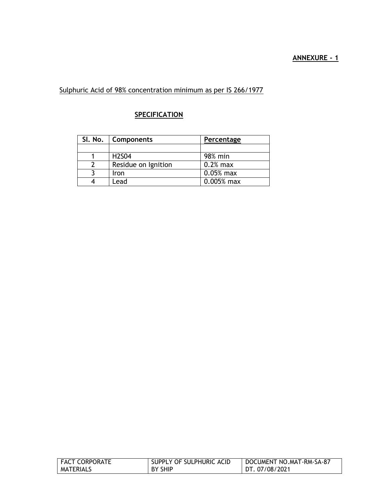## **ANNEXURE - 1**

## Sulphuric Acid of 98% concentration minimum as per IS 266/1977

## **SPECIFICATION**

| SI. No.   Components | Percentage   |
|----------------------|--------------|
|                      |              |
| <b>H2S04</b>         | 98% min      |
| Residue on Ignition  | $0.2%$ max   |
| Iron                 | $0.05%$ max  |
| Lead                 | $0.005%$ max |

| <b>FACT CORPORATE</b> | SUPPLY OF SULPHURIC ACID | DOCUMENT NO.MAT-RM-SA-87 |
|-----------------------|--------------------------|--------------------------|
| MATERIALS             | <b>BY SHIP</b>           | DT. 07/08/2021           |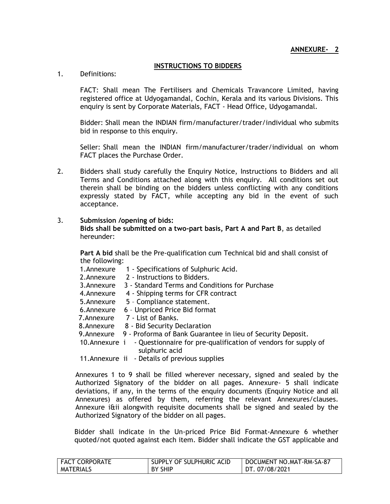#### **INSTRUCTIONS TO BIDDERS**

1. Definitions:

FACT: Shall mean The Fertilisers and Chemicals Travancore Limited, having registered office at Udyogamandal, Cochin, Kerala and its various Divisions. This enquiry is sent by Corporate Materials, FACT - Head Office, Udyogamandal.

Bidder: Shall mean the INDIAN firm/manufacturer/trader/individual who submits bid in response to this enquiry.

Seller: Shall mean the INDIAN firm/manufacturer/trader/individual on whom FACT places the Purchase Order.

2. Bidders shall study carefully the Enquiry Notice, Instructions to Bidders and all Terms and Conditions attached along with this enquiry. All conditions set out therein shall be binding on the bidders unless conflicting with any conditions expressly stated by FACT, while accepting any bid in the event of such acceptance.

#### 3. **Submission /opening of bids:**

**Bids shall be submitted on a two-part basis, Part A and Part B**, as detailed hereunder:

**Part A bid** shall be the Pre-qualification cum Technical bid and shall consist of the following:

- 1.Annexure 1 Specifications of Sulphuric Acid.
- 2.Annexure 2 Instructions to Bidders.
- 3.Annexure 3 Standard Terms and Conditions for Purchase
- 4.Annexure 4 Shipping terms for CFR contract
- 5.Annexure 5 Compliance statement.
- 6.Annexure 6 Unpriced Price Bid format
- 7.Annexure 7 List of Banks.
- 8.Annexure 8 Bid Security Declaration
- 9. Annexure 9 Proforma of Bank Guarantee in lieu of Security Deposit.
- 10.Annexure i Questionnaire for pre-qualification of vendors for supply of sulphuric acid
- 11.Annexure ii Details of previous supplies

Annexures 1 to 9 shall be filled wherever necessary, signed and sealed by the Authorized Signatory of the bidder on all pages. Annexure- 5 shall indicate deviations, if any, in the terms of the enquiry documents (Enquiry Notice and all Annexures) as offered by them, referring the relevant Annexures/clauses. Annexure i&ii alongwith requisite documents shall be signed and sealed by the Authorized Signatory of the bidder on all pages.

Bidder shall indicate in the Un-priced Price Bid Format-Annexure 6 whether quoted/not quoted against each item. Bidder shall indicate the GST applicable and

| <b>FACT CORPORATE</b> | SUPPLY OF SULPHURIC ACID | DOCUMENT NO.MAT-RM-SA-87 |
|-----------------------|--------------------------|--------------------------|
| MATERIALS             | <b>BY SHIP</b>           | l DT. 07/08/2021         |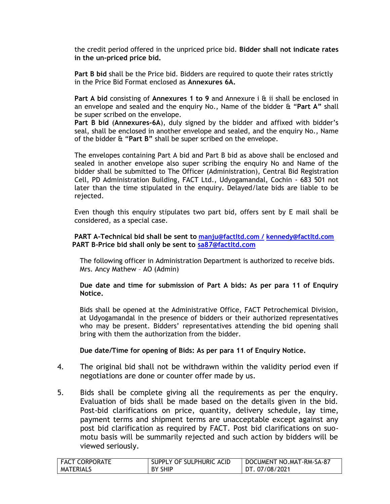the credit period offered in the unpriced price bid. **Bidder shall not indicate rates in the un-priced price bid.**

**Part B bid** shall be the Price bid. Bidders are required to quote their rates strictly in the Price Bid Format enclosed as **Annexures 6A.**

**Part A bid** consisting of **Annexures 1 to 9** and Annexure i & ii shall be enclosed in an envelope and sealed and the enquiry No., Name of the bidder & "**Part A"** shall be super scribed on the envelope.

**Part B bid** (**Annexures-6A**), duly signed by the bidder and affixed with bidder"s seal, shall be enclosed in another envelope and sealed, and the enquiry No., Name of the bidder & "**Part B"** shall be super scribed on the envelope.

The envelopes containing Part A bid and Part B bid as above shall be enclosed and sealed in another envelope also super scribing the enquiry No and Name of the bidder shall be submitted to The Officer (Administration), Central Bid Registration Cell, PD Administration Building, FACT Ltd., Udyogamandal, Cochin - 683 501 not later than the time stipulated in the enquiry. Delayed/late bids are liable to be rejected.

Even though this enquiry stipulates two part bid, offers sent by E mail shall be considered, as a special case.

#### **PART A-Technical bid shall be sent to [manju@factltd.com](mailto:manju@factltd.com%20/) / [kennedy@factltd.com](mailto:kennedy@factltd.com) PART B-Price bid shall only be sent to [sa87@factltd.com](mailto:sa87@factltd.com)**

The following officer in Administration Department is authorized to receive bids. Mrs. Ancy Mathew – AO (Admin)

**Due date and time for submission of Part A bids: As per para 11 of Enquiry Notice.**

Bids shall be opened at the Administrative Office, FACT Petrochemical Division, at Udyogamandal in the presence of bidders or their authorized representatives who may be present. Bidders' representatives attending the bid opening shall bring with them the authorization from the bidder.

**Due date/Time for opening of Bids: As per para 11 of Enquiry Notice.**

- 4. The original bid shall not be withdrawn within the validity period even if negotiations are done or counter offer made by us.
- 5. Bids shall be complete giving all the requirements as per the enquiry. Evaluation of bids shall be made based on the details given in the bid. Post-bid clarifications on price, quantity, delivery schedule, lay time, payment terms and shipment terms are unacceptable except against any post bid clarification as required by FACT. Post bid clarifications on suomotu basis will be summarily rejected and such action by bidders will be viewed seriously.

| <b>FACT CORPORATE</b> | SUPPLY OF SULPHURIC ACID | DOCUMENT NO.MAT-RM-SA-87 |
|-----------------------|--------------------------|--------------------------|
| MATERIALS             | <b>BY SHIP</b>           | DT. 07/08/2021           |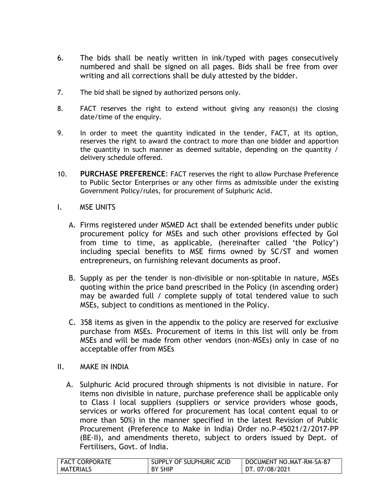- 6. The bids shall be neatly written in ink/typed with pages consecutively numbered and shall be signed on all pages. Bids shall be free from over writing and all corrections shall be duly attested by the bidder.
- 7. The bid shall be signed by authorized persons only.
- 8. FACT reserves the right to extend without giving any reason(s) the closing date/time of the enquiry.
- 9. In order to meet the quantity indicated in the tender, FACT, at its option, reserves the right to award the contract to more than one bidder and apportion the quantity in such manner as deemed suitable, depending on the quantity / delivery schedule offered.
- 10. **PURCHASE PREFERENCE**: FACT reserves the right to allow Purchase Preference to Public Sector Enterprises or any other firms as admissible under the existing Government Policy/rules, for procurement of Sulphuric Acid.
- I. MSE UNITS
	- A. Firms registered under MSMED Act shall be extended benefits under public procurement policy for MSEs and such other provisions effected by GoI from time to time, as applicable, (hereinafter called "the Policy") including special benefits to MSE firms owned by SC/ST and women entrepreneurs, on furnishing relevant documents as proof.
	- B. Supply as per the tender is non-divisible or non-splitable in nature, MSEs quoting within the price band prescribed in the Policy (in ascending order) may be awarded full / complete supply of total tendered value to such MSEs, subject to conditions as mentioned in the Policy.
	- C. 358 items as given in the appendix to the policy are reserved for exclusive purchase from MSEs. Procurement of items in this list will only be from MSEs and will be made from other vendors (non-MSEs) only in case of no acceptable offer from MSEs
- II. MAKE IN INDIA
	- A. Sulphuric Acid procured through shipments is not divisible in nature. For items non divisible in nature, purchase preference shall be applicable only to Class I local suppliers (suppliers or service providers whose goods, services or works offered for procurement has local content equal to or more than 50%) in the manner specified in the latest Revision of Public Procurement (Preference to Make in India) Order no.P-45021/2/2017-PP (BE-II), and amendments thereto, subject to orders issued by Dept. of Fertilisers, Govt. of India.

| <b>FACT CORPORATE</b> | SUPPLY OF SULPHURIC ACID | DOCUMENT NO.MAT-RM-SA-87 |
|-----------------------|--------------------------|--------------------------|
| <b>MATERIALS</b>      | BY SHIP                  | DT. 07/08/2021           |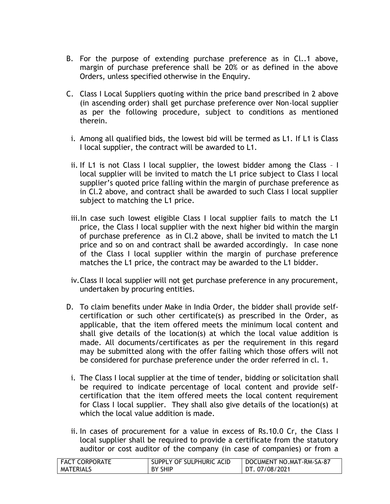- B. For the purpose of extending purchase preference as in Cl..1 above, margin of purchase preference shall be 20% or as defined in the above Orders, unless specified otherwise in the Enquiry.
- C. Class I Local Suppliers quoting within the price band prescribed in 2 above (in ascending order) shall get purchase preference over Non-local supplier as per the following procedure, subject to conditions as mentioned therein.
- i. Among all qualified bids, the lowest bid will be termed as L1. If L1 is Class I local supplier, the contract will be awarded to L1.
- ii. If L1 is not Class I local supplier, the lowest bidder among the Class I local supplier will be invited to match the L1 price subject to Class I local supplier's quoted price falling within the margin of purchase preference as in Cl.2 above, and contract shall be awarded to such Class I local supplier subject to matching the L1 price.
- iii.In case such lowest eligible Class I local supplier fails to match the L1 price, the Class I local supplier with the next higher bid within the margin of purchase preference as in Cl.2 above, shall be invited to match the L1 price and so on and contract shall be awarded accordingly. In case none of the Class I local supplier within the margin of purchase preference matches the L1 price, the contract may be awarded to the L1 bidder.
- iv.Class II local supplier will not get purchase preference in any procurement, undertaken by procuring entities.
- D. To claim benefits under Make in India Order, the bidder shall provide selfcertification or such other certificate(s) as prescribed in the Order, as applicable, that the item offered meets the minimum local content and shall give details of the location(s) at which the local value addition is made. All documents/certificates as per the requirement in this regard may be submitted along with the offer failing which those offers will not be considered for purchase preference under the order referred in cl. 1.
- i. The Class I local supplier at the time of tender, bidding or solicitation shall be required to indicate percentage of local content and provide selfcertification that the item offered meets the local content requirement for Class I local supplier. They shall also give details of the location(s) at which the local value addition is made.
- ii. In cases of procurement for a value in excess of Rs.10.0 Cr, the Class I local supplier shall be required to provide a certificate from the statutory auditor or cost auditor of the company (in case of companies) or from a

| <b>FACT CORPORATE</b> | SUPPLY OF SULPHURIC ACID | DOCUMENT NO.MAT-RM-SA-87 |
|-----------------------|--------------------------|--------------------------|
| MATERIALS             | I BY SHIP                | DT. 07/08/2021           |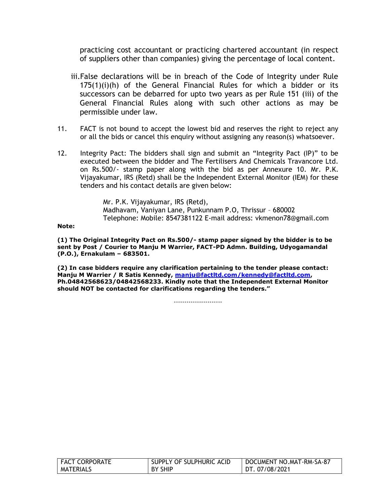practicing cost accountant or practicing chartered accountant (in respect of suppliers other than companies) giving the percentage of local content.

- iii.False declarations will be in breach of the Code of Integrity under Rule 175(1)(i)(h) of the General Financial Rules for which a bidder or its successors can be debarred for upto two years as per Rule 151 (iii) of the General Financial Rules along with such other actions as may be permissible under law.
- 11. FACT is not bound to accept the lowest bid and reserves the right to reject any or all the bids or cancel this enquiry without assigning any reason(s) whatsoever.
- 12. Integrity Pact: The bidders shall sign and submit an "Integrity Pact (IP)" to be executed between the bidder and The Fertilisers And Chemicals Travancore Ltd. on Rs.500/- stamp paper along with the bid as per Annexure 10. Mr. P.K. Vijayakumar, IRS (Retd) shall be the Independent External Monitor (IEM) for these tenders and his contact details are given below:

Mr. P.K. Vijayakumar, IRS (Retd), Madhavam, Vaniyan Lane, Punkunnam P.O, Thrissur – 680002 Telephone: Mobile: 8547381122 E-mail address: [vkmenon78@gmail.com](mailto:vkmenon78@gmail.com)

**Note:**

**(1) The Original Integrity Pact on Rs.500/- stamp paper signed by the bidder is to be sent by Post / Courier to Manju M Warrier, FACT-PD Admn. Building, Udyogamandal (P.O.), Ernakulam – 683501.**

**(2) In case bidders require any clarification pertaining to the tender please contact: Manju M Warrier / R Satis Kennedy, [manju@factltd.com/kennedy@factltd.com,](mailto:manju@factltd.com/kennedy@factltd.com) Ph.04842568623/04842568233. Kindly note that the Independent External Monitor should NOT be contacted for clarifications regarding the tenders."**

-----------------------

| <b>FACT CORPORATE</b> | SUPPLY OF SULPHURIC ACID | DOCUMENT NO.MAT-RM-SA-87 |
|-----------------------|--------------------------|--------------------------|
| MATERIALS             | <b>BY SHIP</b>           | DT. 07/08/2021           |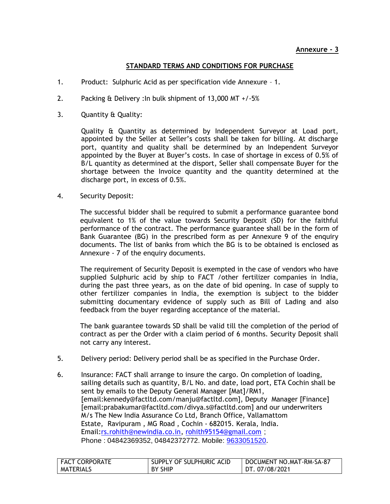#### **STANDARD TERMS AND CONDITIONS FOR PURCHASE**

- 1. Product: Sulphuric Acid as per specification vide Annexure 1.
- 2. Packing & Delivery :In bulk shipment of 13,000 MT +/-5%
- 3. Quantity & Quality:

Quality & Quantity as determined by Independent Surveyor at Load port, appointed by the Seller at Seller"s costs shall be taken for billing. At discharge port, quantity and quality shall be determined by an Independent Surveyor appointed by the Buyer at Buyer"s costs. In case of shortage in excess of 0.5% of B/L quantity as determined at the disport, Seller shall compensate Buyer for the shortage between the Invoice quantity and the quantity determined at the discharge port, in excess of 0.5%.

4. Security Deposit:

The successful bidder shall be required to submit a performance guarantee bond equivalent to 1% of the value towards Security Deposit (SD) for the faithful performance of the contract. The performance guarantee shall be in the form of Bank Guarantee (BG) in the prescribed form as per Annexure 9 of the enquiry documents. The list of banks from which the BG is to be obtained is enclosed as Annexure - 7 of the enquiry documents.

The requirement of Security Deposit is exempted in the case of vendors who have supplied Sulphuric acid by ship to FACT /other fertilizer companies in India, during the past three years, as on the date of bid opening. In case of supply to other fertilizer companies in India, the exemption is subject to the bidder submitting documentary evidence of supply such as Bill of Lading and also feedback from the buyer regarding acceptance of the material.

The bank guarantee towards SD shall be valid till the completion of the period of contract as per the Order with a claim period of 6 months. Security Deposit shall not carry any interest.

- 5. Delivery period: Delivery period shall be as specified in the Purchase Order.
- 6. Insurance: FACT shall arrange to insure the cargo. On completion of loading, sailing details such as quantity, B/L No. and date, load port, ETA Cochin shall be sent by emails to the Deputy General Manager [Mat]/RM1, [email:kennedy@factltd.com/manju@factltd.com], Deputy Manager [Finance] [email:prabakumar@factltd.com/divya.s@factltd.com] and our underwriters M/s The New India Assurance Co Ltd, Branch Office, Vallamattom Estate, Ravipuram , MG Road , Cochin - 682015. Kerala, India. Email:*rs.rohith@newindia.co.in, [rohith95154@gmail.com](mailto:rohith95154@gmail.com)*; Phone : [04842369352, 04842](callto:0484%202369352,%200484)372772. Mobile: [9633051520](callto:9633051520).

| <b>FACT CORPORATE</b> | SUPPLY OF SULPHURIC ACID | DOCUMENT NO.MAT-RM-SA-87 |
|-----------------------|--------------------------|--------------------------|
| MATERIALS             | BY SHIP                  | DT. 07/08/2021           |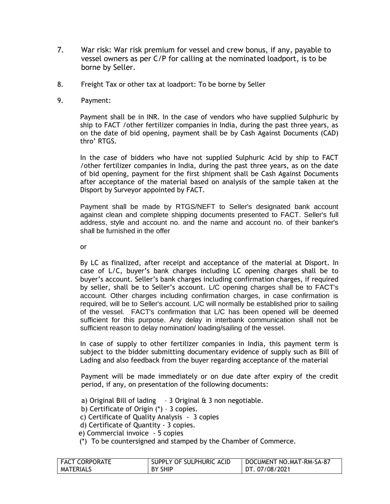- 7. War risk: War risk premium for vessel and crew bonus, if any, payable to vessel owners as per C/P for calling at the nominated loadport, is to be borne by Seller.
- 8. Freight Tax or other tax at loadport: To be borne by Seller
- 9. Payment:

Payment shall be in INR. In the case of vendors who have supplied Sulphuric by ship to FACT /other fertilizer companies in India, during the past three years, as on the date of bid opening, payment shall be by Cash Against Documents (CAD) thro' RTGS.

In the case of bidders who have not supplied Sulphuric Acid by ship to FACT /other fertilizer companies in India, during the past three years, as on the date of bid opening, payment for the first shipment shall be Cash Against Documents after acceptance of the material based on analysis of the sample taken at the Disport by Surveyor appointed by FACT.

Payment shall be made by RTGS/NEFT to Seller's designated bank account against clean and complete shipping documents presented to FACT. Seller's full address, style and account no. and the name and account no. of their banker's shall be furnished in the offer

or

By LC as finalized, after receipt and acceptance of the material at Disport. In case of L/C, buyer"s bank charges including LC opening charges shall be to buyer"s account. Seller"s bank charges including confirmation charges, if required by seller, shall be to Seller"s account. L/C opening charges shall be to FACT's account. Other charges including confirmation charges, in case confirmation is required, will be to Seller's account. L/C will normally be established prior to sailing of the vessel. FACT's confirmation that L/C has been opened will be deemed sufficient for this purpose. Any delay in interbank communication shall not be sufficient reason to delay nomination/ loading/sailing of the vessel.

In case of supply to other fertilizer companies in India, this payment term is subject to the bidder submitting documentary evidence of supply such as Bill of Lading and also feedback from the buyer regarding acceptance of the material

Payment will be made immediately or on due date after expiry of the credit period, if any, on presentation of the following documents:

a) Original Bill of lading  $-3$  Original  $\theta$  3 non negotiable.

b) Certificate of Origin (\*) – 3 copies.

c) Certificate of Quality Analysis - 3 copies

- d) Certificate of Quantity 3 copies.
- e) Commercial invoice 5 copies
- (\*) To be countersigned and stamped by the Chamber of Commerce.

| <b>FACT CORPORATE</b> | SUPPLY OF SULPHURIC ACID | DOCUMENT NO.MAT-RM-SA-87 |
|-----------------------|--------------------------|--------------------------|
| <b>MATERIALS</b>      | <b>BY SHIP</b>           | DT. 07/08/2021           |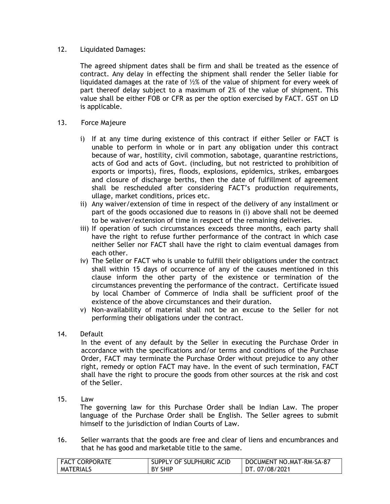#### 12. Liquidated Damages:

The agreed shipment dates shall be firm and shall be treated as the essence of contract. Any delay in effecting the shipment shall render the Seller liable for liquidated damages at the rate of ½% of the value of shipment for every week of part thereof delay subject to a maximum of 2% of the value of shipment. This value shall be either FOB or CFR as per the option exercised by FACT. GST on LD is applicable.

#### 13. Force Majeure

- i) If at any time during existence of this contract if either Seller or FACT is unable to perform in whole or in part any obligation under this contract because of war, hostility, civil commotion, sabotage, quarantine restrictions, acts of God and acts of Govt. (including, but not restricted to prohibition of exports or imports), fires, floods, explosions, epidemics, strikes, embargoes and closure of discharge berths, then the date of fulfillment of agreement shall be rescheduled after considering FACT"s production requirements, ullage, market conditions, prices etc.
- ii) Any waiver/extension of time in respect of the delivery of any installment or part of the goods occasioned due to reasons in (i) above shall not be deemed to be waiver/extension of time in respect of the remaining deliveries.
- iii) If operation of such circumstances exceeds three months, each party shall have the right to refuse further performance of the contract in which case neither Seller nor FACT shall have the right to claim eventual damages from each other.
- iv) The Seller or FACT who is unable to fulfill their obligations under the contract shall within 15 days of occurrence of any of the causes mentioned in this clause inform the other party of the existence or termination of the circumstances preventing the performance of the contract. Certificate issued by local Chamber of Commerce of India shall be sufficient proof of the existence of the above circumstances and their duration.
- v) Non-availability of material shall not be an excuse to the Seller for not performing their obligations under the contract.

#### 14. Default

In the event of any default by the Seller in executing the Purchase Order in accordance with the specifications and/or terms and conditions of the Purchase Order, FACT may terminate the Purchase Order without prejudice to any other right, remedy or option FACT may have. In the event of such termination, FACT shall have the right to procure the goods from other sources at the risk and cost of the Seller.

15. Law

The governing law for this Purchase Order shall be Indian Law. The proper language of the Purchase Order shall be English. The Seller agrees to submit himself to the jurisdiction of Indian Courts of Law.

16. Seller warrants that the goods are free and clear of liens and encumbrances and that he has good and marketable title to the same.

| <b>FACT CORPORATE</b> | SUPPLY OF SULPHURIC ACID | DOCUMENT NO.MAT-RM-SA-87 |
|-----------------------|--------------------------|--------------------------|
| MATERIALS             | <b>BY SHIP</b>           | DT. 07/08/2021           |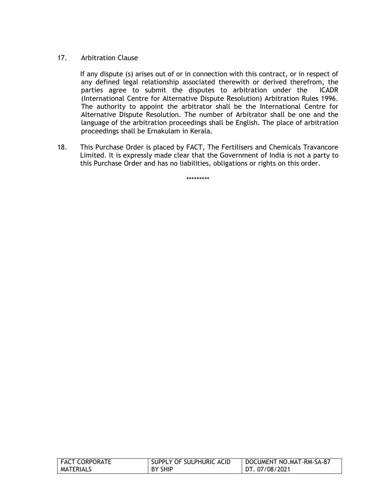#### 17. Arbitration Clause

If any dispute (s) arises out of or in connection with this contract, or in respect of any defined legal relationship associated therewith or derived therefrom, the parties agree to submit the disputes to arbitration under the ICADR (International Centre for Alternative Dispute Resolution) Arbitration Rules 1996. The authority to appoint the arbitrator shall be the International Centre for Alternative Dispute Resolution. The number of Arbitrator shall be one and the language of the arbitration proceedings shall be English. The place of arbitration proceedings shall be Ernakulam in Kerala.

18. This Purchase Order is placed by FACT, The Fertilisers and Chemicals Travancore Limited. It is expressly made clear that the Government of India is not a party to this Purchase Order and has no liabilities, obligations or rights on this order.

\*\*\*\*\*\*\*\*\*

| FACT CORPORATE | SUPPLY OF SULPHURIC ACID | DOCUMENT NO.MAT-RM-SA-87 |
|----------------|--------------------------|--------------------------|
| MATERIALS      | BY SHIP                  | DT. 07/08/2021           |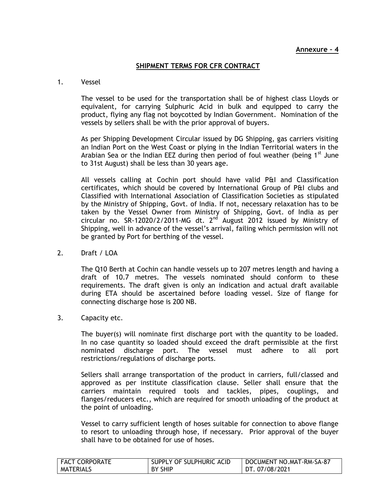#### **SHIPMENT TERMS FOR CFR CONTRACT**

#### 1. Vessel

The vessel to be used for the transportation shall be of highest class Lloyds or equivalent, for carrying Sulphuric Acid in bulk and equipped to carry the product, flying any flag not boycotted by Indian Government. Nomination of the vessels by sellers shall be with the prior approval of buyers.

As per Shipping Development Circular issued by DG Shipping, gas carriers visiting an Indian Port on the West Coast or plying in the Indian Territorial waters in the Arabian Sea or the Indian EEZ during then period of foul weather (being  $1^{st}$  June to 31st August) shall be less than 30 years age.

All vessels calling at Cochin port should have valid P&I and Classification certificates, which should be covered by International Group of P&I clubs and Classified with International Association of Classification Societies as stipulated by the Ministry of Shipping, Govt. of India. If not, necessary relaxation has to be taken by the Vessel Owner from Ministry of Shipping, Govt. of India as per circular no. SR-12020/2/2011-MG dt.  $2<sup>nd</sup>$  August 2012 issued by Ministry of Shipping, well in advance of the vessel's arrival, failing which permission will not be granted by Port for berthing of the vessel.

2. Draft / LOA

 The Q10 Berth at Cochin can handle vessels up to 207 metres length and having a draft of 10.7 metres. The vessels nominated should conform to these requirements. The draft given is only an indication and actual draft available during ETA should be ascertained before loading vessel. Size of flange for connecting discharge hose is 200 NB.

3. Capacity etc.

The buyer(s) will nominate first discharge port with the quantity to be loaded. In no case quantity so loaded should exceed the draft permissible at the first nominated discharge port. The vessel must adhere to all port restrictions/regulations of discharge ports.

Sellers shall arrange transportation of the product in carriers, full/classed and approved as per institute classification clause. Seller shall ensure that the carriers maintain required tools and tackles, pipes, couplings, and flanges/reducers etc., which are required for smooth unloading of the product at the point of unloading.

Vessel to carry sufficient length of hoses suitable for connection to above flange to resort to unloading through hose, if necessary. Prior approval of the buyer shall have to be obtained for use of hoses.

| <b>FACT CORPORATE</b> | SUPPLY OF SULPHURIC ACID | DOCUMENT NO.MAT-RM-SA-87 |
|-----------------------|--------------------------|--------------------------|
| <b>MATERIALS</b>      | <b>BY SHIP</b>           | DT. 07/08/2021           |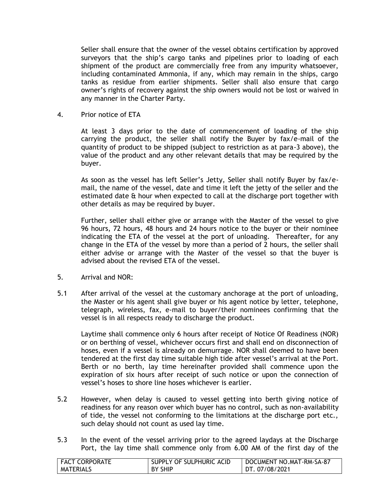Seller shall ensure that the owner of the vessel obtains certification by approved surveyors that the ship"s cargo tanks and pipelines prior to loading of each shipment of the product are commercially free from any impurity whatsoever, including contaminated Ammonia, if any, which may remain in the ships, cargo tanks as residue from earlier shipments. Seller shall also ensure that cargo owner"s rights of recovery against the ship owners would not be lost or waived in any manner in the Charter Party.

4. Prior notice of ETA

At least 3 days prior to the date of commencement of loading of the ship carrying the product, the seller shall notify the Buyer by fax/e-mail of the quantity of product to be shipped (subject to restriction as at para-3 above), the value of the product and any other relevant details that may be required by the buyer.

As soon as the vessel has left Seller"s Jetty, Seller shall notify Buyer by fax/email, the name of the vessel, date and time it left the jetty of the seller and the estimated date & hour when expected to call at the discharge port together with other details as may be required by buyer.

Further, seller shall either give or arrange with the Master of the vessel to give 96 hours, 72 hours, 48 hours and 24 hours notice to the buyer or their nominee indicating the ETA of the vessel at the port of unloading. Thereafter, for any change in the ETA of the vessel by more than a period of 2 hours, the seller shall either advise or arrange with the Master of the vessel so that the buyer is advised about the revised ETA of the vessel.

- 5. Arrival and NOR:
- 5.1 After arrival of the vessel at the customary anchorage at the port of unloading, the Master or his agent shall give buyer or his agent notice by letter, telephone, telegraph, wireless, fax, e-mail to buyer/their nominees confirming that the vessel is in all respects ready to discharge the product.

Laytime shall commence only 6 hours after receipt of Notice Of Readiness (NOR) or on berthing of vessel, whichever occurs first and shall end on disconnection of hoses, even if a vessel is already on demurrage. NOR shall deemed to have been tendered at the first day time suitable high tide after vessel"s arrival at the Port. Berth or no berth, lay time hereinafter provided shall commence upon the expiration of six hours after receipt of such notice or upon the connection of vessel"s hoses to shore line hoses whichever is earlier.

- 5.2 However, when delay is caused to vessel getting into berth giving notice of readiness for any reason over which buyer has no control, such as non-availability of tide, the vessel not conforming to the limitations at the discharge port etc., such delay should not count as used lay time.
- 5.3 In the event of the vessel arriving prior to the agreed laydays at the Discharge Port, the lay time shall commence only from 6.00 AM of the first day of the

| <b>FACT CORPORATE</b> | SUPPLY OF SULPHURIC ACID | DOCUMENT NO.MAT-RM-SA-87 |
|-----------------------|--------------------------|--------------------------|
| <b>MATERIALS</b>      | <b>BY SHIP</b>           | DT. 07/08/2021           |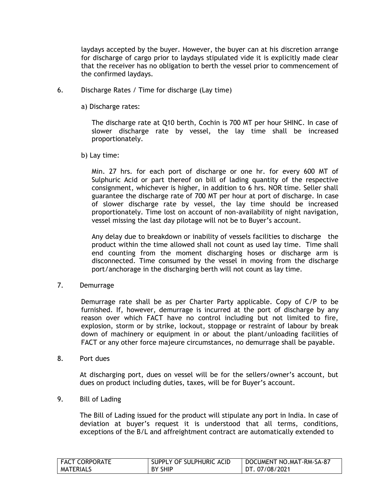laydays accepted by the buyer. However, the buyer can at his discretion arrange for discharge of cargo prior to laydays stipulated vide it is explicitly made clear that the receiver has no obligation to berth the vessel prior to commencement of the confirmed laydays.

- 6. Discharge Rates / Time for discharge (Lay time)
	- a) Discharge rates:

The discharge rate at Q10 berth, Cochin is 700 MT per hour SHINC. In case of slower discharge rate by vessel, the lay time shall be increased proportionately.

b) Lay time:

Min. 27 hrs. for each port of discharge or one hr. for every 600 MT of Sulphuric Acid or part thereof on bill of lading quantity of the respective consignment, whichever is higher, in addition to 6 hrs. NOR time. Seller shall guarantee the discharge rate of 700 MT per hour at port of discharge. In case of slower discharge rate by vessel, the lay time should be increased proportionately. Time lost on account of non-availability of night navigation, vessel missing the last day pilotage will not be to Buyer"s account.

Any delay due to breakdown or inability of vessels facilities to discharge the product within the time allowed shall not count as used lay time. Time shall end counting from the moment discharging hoses or discharge arm is disconnected. Time consumed by the vessel in moving from the discharge port/anchorage in the discharging berth will not count as lay time.

7. Demurrage

Demurrage rate shall be as per Charter Party applicable. Copy of C/P to be furnished. If, however, demurrage is incurred at the port of discharge by any reason over which FACT have no control including but not limited to fire, explosion, storm or by strike, lockout, stoppage or restraint of labour by break down of machinery or equipment in or about the plant/unloading facilities of FACT or any other force majeure circumstances, no demurrage shall be payable.

8. Port dues

At discharging port, dues on vessel will be for the sellers/owner"s account, but dues on product including duties, taxes, will be for Buyer's account.

9. Bill of Lading

The Bill of Lading issued for the product will stipulate any port in India. In case of deviation at buyer"s request it is understood that all terms, conditions, exceptions of the B/L and affreightment contract are automatically extended to

| <b>FACT CORPORATE</b> | SUPPLY OF SULPHURIC ACID | DOCUMENT NO.MAT-RM-SA-87 |
|-----------------------|--------------------------|--------------------------|
| <b>MATERIALS</b>      | <b>BY SHIP</b>           | DT. 07/08/2021           |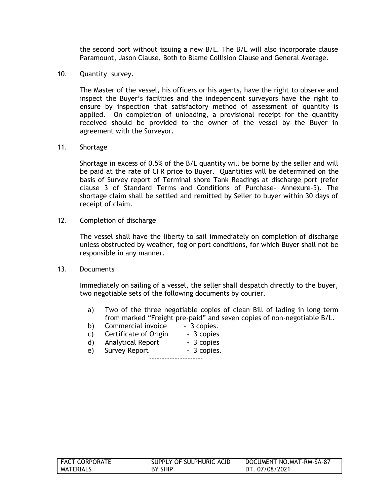the second port without issuing a new B/L. The B/L will also incorporate clause Paramount, Jason Clause, Both to Blame Collision Clause and General Average.

10. Quantity survey.

The Master of the vessel, his officers or his agents, have the right to observe and inspect the Buyer"s facilities and the independent surveyors have the right to ensure by inspection that satisfactory method of assessment of quantity is applied. On completion of unloading, a provisional receipt for the quantity received should be provided to the owner of the vessel by the Buyer in agreement with the Surveyor.

11. Shortage

Shortage in excess of 0.5% of the B/L quantity will be borne by the seller and will be paid at the rate of CFR price to Buyer. Quantities will be determined on the basis of Survey report of Terminal shore Tank Readings at discharge port (refer clause 3 of Standard Terms and Conditions of Purchase- Annexure-5). The shortage claim shall be settled and remitted by Seller to buyer within 30 days of receipt of claim.

12. Completion of discharge

The vessel shall have the liberty to sail immediately on completion of discharge unless obstructed by weather, fog or port conditions, for which Buyer shall not be responsible in any manner.

13. Documents

Immediately on sailing of a vessel, the seller shall despatch directly to the buyer, two negotiable sets of the following documents by courier.

- a) Two of the three negotiable copies of clean Bill of lading in long term from marked "Freight pre-paid" and seven copies of non-negotiable B/L.
- b) Commercial invoice 3 copies.<br>
c) Certificate of Origin 3 copies
- c) Certificate of Origin
- d) Analytical Report 3 copies
- e) Survey Report 3 copies.

---------------------

| <b>FACT CORPORATE</b> | SUPPLY OF SULPHURIC ACID | DOCUMENT NO.MAT-RM-SA-87 |
|-----------------------|--------------------------|--------------------------|
| MATERIALS             | BY SHIP                  | DT. 07/08/2021           |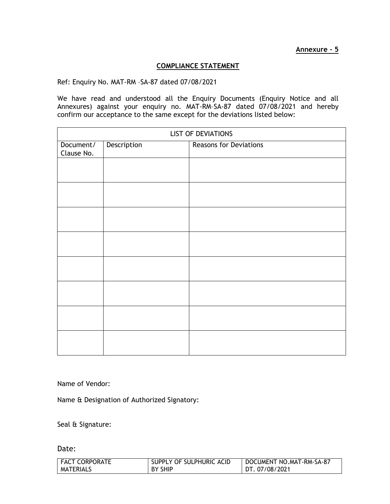#### **COMPLIANCE STATEMENT**

Ref: Enquiry No. MAT-RM –SA-87 dated 07/08/2021

We have read and understood all the Enquiry Documents (Enquiry Notice and all Annexures) against your enquiry no. MAT-RM–SA-87 dated 07/08/2021 and hereby confirm our acceptance to the same except for the deviations listed below:

| <b>LIST OF DEVIATIONS</b> |             |                               |  |
|---------------------------|-------------|-------------------------------|--|
| Document/<br>Clause No.   | Description | <b>Reasons for Deviations</b> |  |
|                           |             |                               |  |
|                           |             |                               |  |
|                           |             |                               |  |
|                           |             |                               |  |
|                           |             |                               |  |
|                           |             |                               |  |
|                           |             |                               |  |
|                           |             |                               |  |
|                           |             |                               |  |

Name of Vendor:

Name & Designation of Authorized Signatory:

Seal & Signature:

Date:

| <b>FACT CORPORATE</b> | SUPPLY OF SULPHURIC ACID | DOCUMENT NO.MAT-RM-SA-87 |
|-----------------------|--------------------------|--------------------------|
| MATERIALS             | <b>BY SHIP</b>           | DT. 07/08/2021           |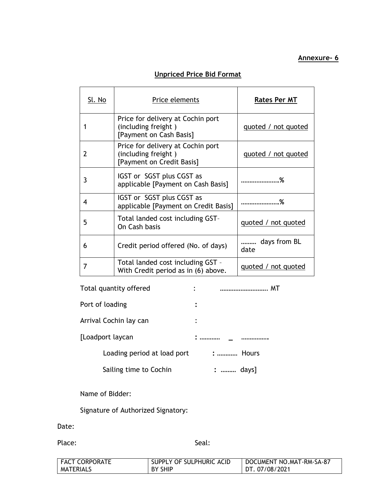# **Annexure- 6**

## **Unpriced Price Bid Format**

| <u>Sl. No</u> | Price elements                                                                        | <b>Rates Per MT</b>  |
|---------------|---------------------------------------------------------------------------------------|----------------------|
|               | Price for delivery at Cochin port<br>(including freight)<br>[Payment on Cash Basis]   | quoted / not quoted  |
| 2             | Price for delivery at Cochin port<br>(including freight)<br>[Payment on Credit Basis] | quoted / not quoted  |
| 3             | IGST or SGST plus CGST as<br>applicable [Payment on Cash Basis]                       |                      |
| 4             | IGST or SGST plus CGST as<br>applicable [Payment on Credit Basis]                     |                      |
| 5             | Total landed cost including GST-<br>On Cash basis                                     | quoted / not quoted  |
| 6             | Credit period offered (No. of days)                                                   | days from BL<br>date |
|               | Total landed cost including GST -<br>With Credit period as in (6) above.              | quoted / not quoted  |

| Total quantity offered      | <br>٠    |
|-----------------------------|----------|
| Port of loading             |          |
| Arrival Cochin lay can      |          |
| [Loadport laycan            |          |
| Loading period at load port | :  Hours |
| Sailing time to Cochin      | :  days] |
|                             |          |

| Name of Bidder: |  |  |  |
|-----------------|--|--|--|
|-----------------|--|--|--|

Signature of Authorized Signatory:

Date:

Place: Seal: Seal: Seal: Seal: Seal: Seal: Seal: Seal: Seal: Seal: Seal: Seal: Seal: Seal: Seal: Seal: Seal: Seal: Seal: Seal: Seal: Seal: Seal: Seal: Seal: Seal: Seal: Seal: Seal: Seal: Seal: Seal: Seal: Seal: Seal: Seal:

| <b>FACT CORPORATE</b> | SUPPLY OF SULPHURIC ACID | DOCUMENT NO.MAT-RM-SA-87 |
|-----------------------|--------------------------|--------------------------|
| MATERIALS             | <b>BY SHIP</b>           | DT. 07/08/2021           |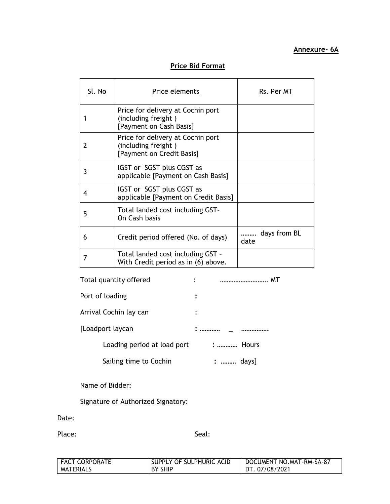## **Price Bid Format**

| Sl. No | Price elements                                                                        | Rs. Per MT           |
|--------|---------------------------------------------------------------------------------------|----------------------|
|        | Price for delivery at Cochin port<br>(including freight)<br>[Payment on Cash Basis]   |                      |
| 2      | Price for delivery at Cochin port<br>(including freight)<br>[Payment on Credit Basis] |                      |
| 3      | IGST or SGST plus CGST as<br>applicable [Payment on Cash Basis]                       |                      |
| 4      | IGST or SGST plus CGST as<br>applicable [Payment on Credit Basis]                     |                      |
| 5      | Total landed cost including GST-<br>On Cash basis                                     |                      |
| 6      | Credit period offered (No. of days)                                                   | days from BL<br>date |
|        | Total landed cost including GST -<br>With Credit period as in (6) above.              |                      |

| Total quantity offered      |          |
|-----------------------------|----------|
| Port of loading             |          |
| Arrival Cochin lay can      |          |
| [Loadport laycan            |          |
| Loading period at load port | :  Hours |
| Sailing time to Cochin      | :  days] |

Name of Bidder:

Signature of Authorized Signatory:

Date:

Place: Seal: Seal: Seal: Seal: Seal: Seal: Seal: Seal: Seal: Seal: Seal: Seal: Seal: Seal: Seal: Seal: Seal: Seal: Seal: Seal: Seal: Seal: Seal: Seal: Seal: Seal: Seal: Seal: Seal: Seal: Seal: Seal: Seal: Seal: Seal: Seal:

| <b>FACT CORPORATE</b> | SUPPLY OF SULPHURIC ACID | DOCUMENT NO.MAT-RM-SA-87 |
|-----------------------|--------------------------|--------------------------|
| <b>MATERIALS</b>      | <b>BY SHIP</b>           | DT. 07/08/2021           |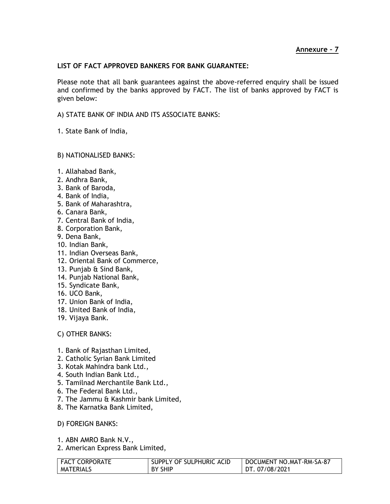#### **LIST OF FACT APPROVED BANKERS FOR BANK GUARANTEE:**

Please note that all bank guarantees against the above-referred enquiry shall be issued and confirmed by the banks approved by FACT. The list of banks approved by FACT is given below:

A) STATE BANK OF INDIA AND ITS ASSOCIATE BANKS:

1. State Bank of India,

#### B) NATIONALISED BANKS:

- 1. Allahabad Bank,
- 2. Andhra Bank,
- 3. Bank of Baroda,
- 4. Bank of India,
- 5. Bank of Maharashtra,
- 6. Canara Bank,
- 7. Central Bank of India,
- 8. Corporation Bank,
- 9. Dena Bank,
- 10. Indian Bank,
- 11. Indian Overseas Bank,
- 12. Oriental Bank of Commerce,
- 13. Punjab & Sind Bank,
- 14. Punjab National Bank,
- 15. Syndicate Bank,
- 16. UCO Bank,
- 17. Union Bank of India,
- 18. United Bank of India,
- 19. Vijaya Bank.

#### C) OTHER BANKS:

- 1. Bank of Rajasthan Limited,
- 2. Catholic Syrian Bank Limited
- 3. Kotak Mahindra bank Ltd.,
- 4. South Indian Bank Ltd.,
- 5. Tamilnad Merchantile Bank Ltd.,
- 6. The Federal Bank Ltd.,
- 7. The Jammu & Kashmir bank Limited,
- 8. The Karnatka Bank Limited,
- D) FOREIGN BANKS:
- 1. ABN AMRO Bank N.V.,
- 2. American Express Bank Limited,

| <b>FACT CORPORATE</b> | SUPPLY OF SULPHURIC ACID | DOCUMENT NO.MAT-RM-SA-87 |
|-----------------------|--------------------------|--------------------------|
| MATERIALS             | BY SHIP                  | DT. 07/08/2021           |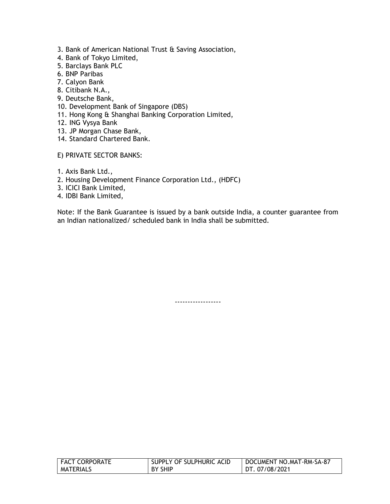- 3. Bank of American National Trust & Saving Association,
- 4. Bank of Tokyo Limited,
- 5. Barclays Bank PLC
- 6. BNP Paribas
- 7. Calyon Bank
- 8. Citibank N.A.,
- 9. Deutsche Bank,
- 10. Development Bank of Singapore (DBS)
- 11. Hong Kong & Shanghai Banking Corporation Limited,
- 12. ING Vysya Bank
- 13. JP Morgan Chase Bank,
- 14. Standard Chartered Bank.
- E) PRIVATE SECTOR BANKS:
- 1. Axis Bank Ltd.,
- 2. Housing Development Finance Corporation Ltd., (HDFC)
- 3. ICICI Bank Limited,
- 4. IDBI Bank Limited,

Note: If the Bank Guarantee is issued by a bank outside India, a counter guarantee from an Indian nationalized/ scheduled bank in India shall be submitted.

------------------

| <b>FACT CORPORATE</b> | SUPPLY OF SULPHURIC ACID | DOCUMENT NO.MAT-RM-SA-87 |
|-----------------------|--------------------------|--------------------------|
| MATERIALS             | <b>BY SHIP</b>           | DT. 07/08/2021           |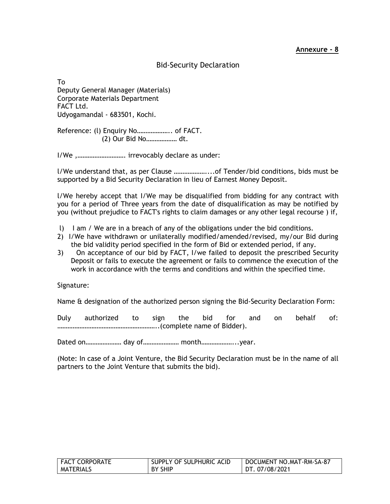## Bid-Security Declaration

To Deputy General Manager (Materials) Corporate Materials Department FACT Ltd. Udyogamandal - 683501, Kochi.

Reference: (l) Enquiry No……………….. of FACT. (2) Our Bid No……………… dt.

I/We ,………………………. irrevocably declare as under:

l/We understand that, as per Clause ………………....of Tender/bid conditions, bids must be supported by a Bid Security Declaration in lieu of Earnest Money Deposit.

l/We hereby accept that I/We may be disqualified from bidding for any contract with you for a period of Three years from the date of disqualification as may be notified by you (without prejudice to FACT's rights to claim damages or any other legal recourse ) if,

- l) I am / We are in a breach of any of the obligations under the bid conditions.
- 2) I/We have withdrawn or unilaterally modified/amended/revised, my/our Bid during the bid validity period specified in the form of Bid or extended period, if any.
- 3) On acceptance of our bid by FACT, I/we failed to deposit the prescribed Security Deposit or fails to execute the agreement or fails to commence the execution of the work in accordance with the terms and conditions and within the specified time.

Signature:

Name & designation of the authorized person signing the Bid-Security Declaration Form:

Duly authorized to sign the bid for and on behalf of: …………………………………………………..(complete name of Bidder).

Dated on………………… day of………………… month………………...year.

(Note: In case of a Joint Venture, the Bid Security Declaration must be in the name of all partners to the Joint Venture that submits the bid).

| FACT CORPORATE | SUPPLY OF SULPHURIC ACID | DOCUMENT NO.MAT-RM-SA-87 |
|----------------|--------------------------|--------------------------|
| MATERIALS      | BY SHIP                  | DT. 07/08/2021           |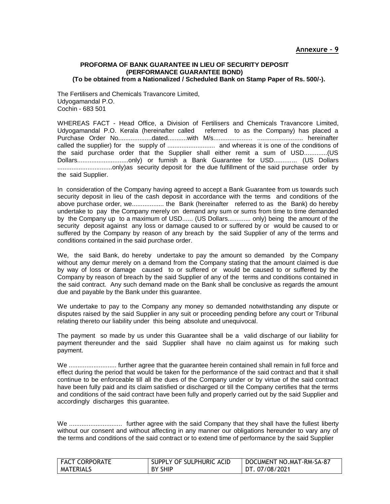#### **PROFORMA OF BANK GUARANTEE IN LIEU OF SECURITY DEPOSIT (PERFORMANCE GUARANTEE BOND) (To be obtained from a Nationalized / Scheduled Bank on Stamp Paper of Rs. 500/-).**

The Fertilisers and Chemicals Travancore Limited, Udyogamandal P.O. Cochin - 683 501

WHEREAS FACT - Head Office, a Division of Fertilisers and Chemicals Travancore Limited, Udyogamandal P.O. Kerala (hereinafter called referred to as the Company) has placed a Purchase Order No...................dated...........with M/s...................... .......................... hereinafter called the supplier) for the supply of ........................... and whereas it is one of the conditions of the said purchase order that the Supplier shall either remit a sum of USD.............(US Dollars.............................only) or furnish a Bank Guarantee for USD............. (US Dollars ...............................only)as security deposit for the due fulfillment of the said purchase order by the said Supplier.

In consideration of the Company having agreed to accept a Bank Guarantee from us towards such security deposit in lieu of the cash deposit in accordance with the terms and conditions of the above purchase order, we.................. the Bank (hereinafter referred to as the Bank) do hereby undertake to pay the Company merely on demand any sum or sums from time to time demanded by the Company up to a maximum of USD...... (US Dollars............. only) being the amount of the security deposit against any loss or damage caused to or suffered by or would be caused to or suffered by the Company by reason of any breach by the said Supplier of any of the terms and conditions contained in the said purchase order.

We, the said Bank, do hereby undertake to pay the amount so demanded by the Company without any demur merely on a demand from the Company stating that the amount claimed is due by way of loss or damage caused to or suffered or would be caused to or suffered by the Company by reason of breach by the said Supplier of any of the terms and conditions contained in the said contract. Any such demand made on the Bank shall be conclusive as regards the amount due and payable by the Bank under this guarantee.

We undertake to pay to the Company any money so demanded notwithstanding any dispute or disputes raised by the said Supplier in any suit or proceeding pending before any court or Tribunal relating thereto our liability under this being absolute and unequivocal.

The payment so made by us under this Guarantee shall be a valid discharge of our liability for payment thereunder and the said Supplier shall have no claim against us for making such payment.

We .............................. further agree that the guarantee herein contained shall remain in full force and effect during the period that would be taken for the performance of the said contract and that it shall continue to be enforceable till all the dues of the Company under or by virtue of the said contract have been fully paid and its claim satisfied or discharged or till the Company certifies that the terms and conditions of the said contract have been fully and properly carried out by the said Supplier and accordingly discharges this guarantee.

We .............................. further agree with the said Company that they shall have the fullest liberty without our consent and without affecting in any manner our obligations hereunder to vary any of the terms and conditions of the said contract or to extend time of performance by the said Supplier

| <b>FACT CORPORATE</b> | SUPPLY OF SULPHURIC ACID | DOCUMENT NO.MAT-RM-SA-87 |
|-----------------------|--------------------------|--------------------------|
| MATERIALS             | <b>BY SHIP</b>           | DT. 07/08/2021           |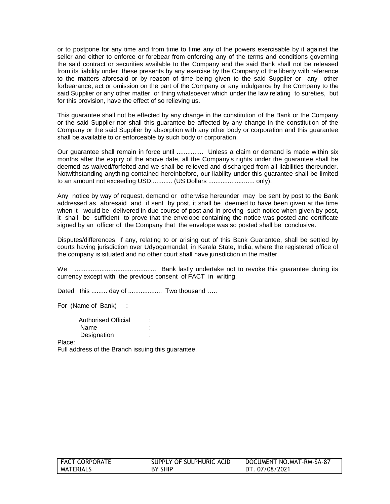or to postpone for any time and from time to time any of the powers exercisable by it against the seller and either to enforce or forebear from enforcing any of the terms and conditions governing the said contract or securities available to the Company and the said Bank shall not be released from its liability under these presents by any exercise by the Company of the liberty with reference to the matters aforesaid or by reason of time being given to the said Supplier or any other forbearance, act or omission on the part of the Company or any indulgence by the Company to the said Supplier or any other matter or thing whatsoever which under the law relating to sureties, but for this provision, have the effect of so relieving us.

This guarantee shall not be effected by any change in the constitution of the Bank or the Company or the said Supplier nor shall this guarantee be affected by any change in the constitution of the Company or the said Supplier by absorption with any other body or corporation and this guarantee shall be available to or enforceable by such body or corporation.

Our guarantee shall remain in force until ............... Unless a claim or demand is made within six months after the expiry of the above date, all the Company's rights under the guarantee shall be deemed as waived/forfeited and we shall be relieved and discharged from all liabilities thereunder. Notwithstanding anything contained hereinbefore, our liability under this guarantee shall be limited to an amount not exceeding USD............ (US Dollars .......................... only).

Any notice by way of request, demand or otherwise hereunder may be sent by post to the Bank addressed as aforesaid and if sent by post, it shall be deemed to have been given at the time when it would be delivered in due course of post and in proving such notice when given by post, it shall be sufficient to prove that the envelope containing the notice was posted and certificate signed by an officer of the Company that the envelope was so posted shall be conclusive.

Disputes/differences, if any, relating to or arising out of this Bank Guarantee, shall be settled by courts having jurisdiction over Udyogamandal, in Kerala State, India, where the registered office of the company is situated and no other court shall have jurisdiction in the matter.

We .............................................. Bank lastly undertake not to revoke this guarantee during its currency except with the previous consent of FACT in writing.

Dated this ......... day of ...................... Two thousand .....

For (Name of Bank) :

Authorised Official : Name : : Designation :

Place:

Full address of the Branch issuing this guarantee.

| <b>FACT CORPORATE</b> | SUPPLY OF SULPHURIC ACID | DOCUMENT NO.MAT-RM-SA-87 |
|-----------------------|--------------------------|--------------------------|
| <b>MATERIALS</b>      | BY SHIP                  | DT. 07/08/2021           |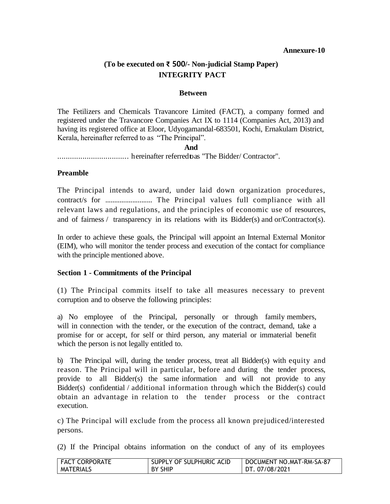#### **Annexure-10**

## **(To be executed on ₹ 500/- Non-judicial Stamp Paper) INTEGRITY PACT**

#### **Between**

The Fetilizers and Chemicals Travancore Limited (FACT), a company formed and registered under the Travancore Companies Act IX to 1114 (Companies Act, 2013) and having its registered office at Eloor, Udyogamandal-683501, Kochi, Ernakulam District, Kerala, hereinafter referred to as "The Principal".

#### **And**

.................................. hereinafter referredtoas "The Bidder/ Contractor".

#### **Preamble**

The Principal intends to award, under laid down organization procedures, contract/s for .......................... The Principal values full compliance with all relevant laws and regulations, and the principles of economic use of resources, and of fairness / transparency in its relations with its Bidder(s) and or/Contractor(s).

In order to achieve these goals, the Principal will appoint an Internal External Monitor (EIM), who will monitor the tender process and execution of the contact for compliance with the principle mentioned above.

#### **Section 1 - Commitments of the Principal**

(1) The Principal commits itself to take all measures necessary to prevent corruption and to observe the following principles:

a) No employee of the Principal, personally or through family members, will in connection with the tender, or the execution of the contract, demand, take a promise for or accept, for self or third person, any material or immaterial benefit which the person is not legally entitled to.

b) The Principal will, during the tender process, treat all Bidder(s) with equity and reason. The Principal will in particular, before and during the tender process, provide to all Bidder(s) the same information and will not provide to any Bidder(s) confidential / additional information through which the Bidder(s) could obtain an advantage in relation to the tender process or the contract execution.

c) The Principal will exclude from the process all known prejudiced/interested persons.

(2) If the Principal obtains information on the conduct of any of its employees

| FACT CORPORATE   | SUPPLY OF SULPHURIC ACID | DOCUMENT NO.MAT-RM-SA-87 |
|------------------|--------------------------|--------------------------|
| <b>MATERIALS</b> | <b>BY SHIP</b>           | DT. 07/08/2021           |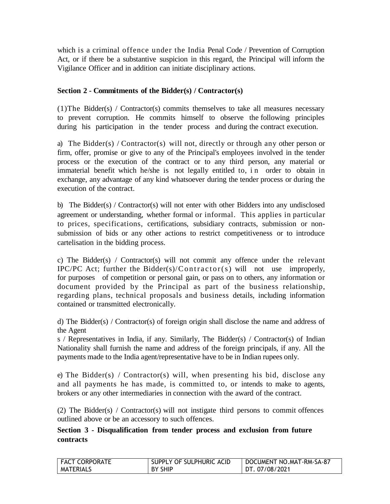which is a criminal offence under the India Penal Code / Prevention of Corruption Act, or if there be a substantive suspicion in this regard, the Principal will inform the Vigilance Officer and in addition can initiate disciplinary actions.

## **Section 2 - Commitments of the Bidder(s) / Contractor(s)**

(1)The Bidder(s) / Contractor(s) commits themselves to take all measures necessary to prevent corruption. He commits himself to observe the following principles during his participation in the tender process and during the contract execution.

a) The Bidder(s) / Contractor(s) will not, directly or through any other person or firm, offer, promise or give to any of the Principal's employees involved in the tender process or the execution of the contract or to any third person, any material or immaterial benefit which he/she is not legally entitled to, in order to obtain in exchange, any advantage of any kind whatsoever during the tender process or during the execution of the contract.

b) The Bidder(s) / Contractor(s) will not enter with other Bidders into any undisclosed agreement or understanding, whether formal or informal. This applies in particular to prices, specifications, certifications, subsidiary contracts, submission or nonsubmission of bids or any other actions to restrict competitiveness or to introduce cartelisation in the bidding process.

c) The Bidder(s) / Contractor(s) will not commit any offence under the relevant IPC/PC Act; further the Bidder(s)/Contractor(s) will not use improperly, for purposes of competition or personal gain, or pass on to others, any information or document provided by the Principal as part of the business relationship, regarding plans, technical proposals and business details, including information contained or transmitted electronically.

d) The Bidder(s) / Contractor(s) of foreign origin shall disclose the name and address of the Agent

s / Representatives in India, if any. Similarly, The Bidder(s) / Contractor(s) of Indian Nationality shall furnish the name and address of the foreign principals, if any. All the payments made to the India agent/representative have to be in Indian rupees only.

e) The Bidder(s) / Contractor(s) will, when presenting his bid, disclose any and all payments he has made, is committed to, or intends to make to agents, brokers or any other intermediaries in connection with the award of the contract.

(2) The Bidder(s) / Contractor(s) will not instigate third persons to commit offences outlined above or be an accessory to such offences.

## **Section 3 - Disqualification from tender process and exclusion from future contracts**

| l FACT CORPORATE | SUPPLY OF SULPHURIC ACID | DOCUMENT NO.MAT-RM-SA-87 |
|------------------|--------------------------|--------------------------|
| <b>MATERIALS</b> | BY SHIP                  | DT. 07/08/2021           |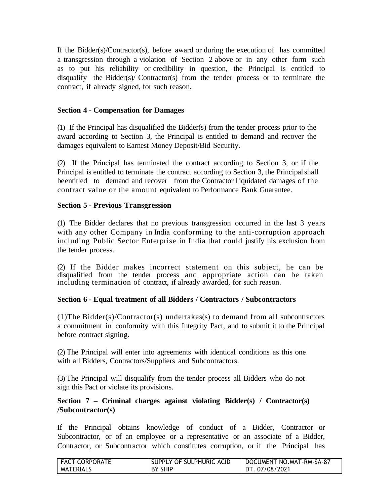If the Bidder(s)/Contractor(s), before award or during the execution of has committed a transgression through a violation of Section 2 above or in any other form such as to put his reliability or credibility in question, the Principal is entitled to disqualify the Bidder(s)/ Contractor(s) from the tender process or to terminate the contract, if already signed, for such reason.

## **Section 4 - Compensation for Damages**

(1) If the Principal has disqualified the Bidder(s) from the tender process prior to the award according to Section 3, the Principal is entitled to demand and recover the damages equivalent to Earnest Money Deposit/Bid Security.

(2) If the Principal has terminated the contract according to Section 3, or if the Principal is entitled to terminate the contract according to Section 3, the Principal shall be entitled to demand and recover from the Contractor l iquidated damages of the contract value or the amount equivalent to Performance Bank Guarantee.

## **Section 5 - Previous Transgression**

(1) The Bidder declares that no previous transgression occurred in the last 3 years with any other Company in India conforming to the anti-corruption approach including Public Sector Enterprise in India that could justify his exclusion from the tender process.

(2) If the Bidder makes incorrect statement on this subject, he can be disqualified from the tender process and appropriate action can be taken including termination of contract, if already awarded, for such reason.

## **Section 6 - Equal treatment of all Bidders / Contractors / Subcontractors**

(1)The Bidder(s)/Contractor(s) undertakes(s) to demand from all subcontractors a commitment in conformity with this Integrity Pact, and to submit it to the Principal before contract signing.

(2) The Principal will enter into agreements with identical conditions as this one with all Bidders, Contractors/Suppliers and Subcontractors.

(3) The Principal will disqualify from the tender process all Bidders who do not sign this Pact or violate its provisions.

## **Section 7 – Criminal charges against violating Bidder(s) / Contractor(s) /Subcontractor(s)**

If the Principal obtains knowledge of conduct of a Bidder, Contractor or Subcontractor, or of an employee or a representative or an associate of a Bidder, Contractor, or Subcontractor which constitutes corruption, or if the Principal has

| FACT CORPORATE   | SUPPLY OF SULPHURIC ACID | DOCUMENT NO.MAT-RM-SA-87 |
|------------------|--------------------------|--------------------------|
| <b>MATERIALS</b> | BY SHIP                  | DT. 07/08/2021           |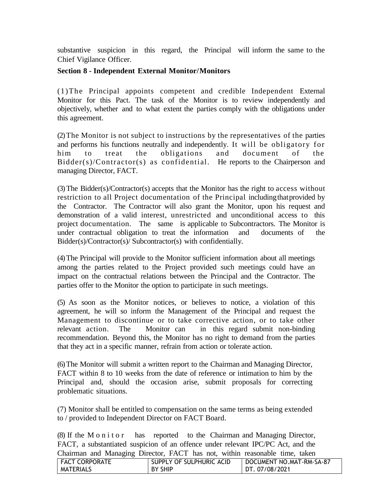substantive suspicion in this regard, the Principal will inform the same to the Chief Vigilance Officer.

## **Section 8 - Independent External Monitor/Monitors**

(1)The Principal appoints competent and credible Independent External Monitor for this Pact. The task of the Monitor is to review independently and objectively, whether and to what extent the parties comply with the obligations under this agreement.

(2)The Monitor is not subject to instructions by the representatives of the parties and performs his functions neutrally and independently. It will be obligatory for him to treat the obligations and document of the Bidder(s)/Contractor(s) as confidential. He reports to the Chairperson and managing Director, FACT.

(3)The Bidder(s)/Contractor(s) accepts that the Monitor has the right to access without restriction to all Project documentation of the Principal includingthatprovided by the Contractor. The Contractor will also grant the Monitor, upon his request and demonstration of a valid interest, unrestricted and unconditional access to this project documentation. The same is applicable to Subcontractors. The Monitor is under contractual obligation to treat the information and documents of the Bidder(s)/Contractor(s)/ Subcontractor(s) with confidentially.

(4)The Principal will provide to the Monitor sufficient information about all meetings among the parties related to the Project provided such meetings could have an impact on the contractual relations between the Principal and the Contractor. The parties offer to the Monitor the option to participate in such meetings.

(5) As soon as the Monitor notices, or believes to notice, a violation of this agreement, he will so inform the Management of the Principal and request the Management to discontinue or to take corrective action, or to take other relevant action. The Monitor can in this regard submit non-binding recommendation. Beyond this, the Monitor has no right to demand from the parties that they act in a specific manner, refrain from action or tolerate action.

(6)The Monitor will submit a written report to the Chairman and Managing Director, FACT within 8 to 10 weeks from the date of reference or intimation to him by the Principal and, should the occasion arise, submit proposals for correcting problematic situations.

(7) Monitor shall be entitled to compensation on the same terms as being extended to / provided to Independent Director on FACT Board.

(8) If the M o n i t o r has reported to the Chairman and Managing Director, FACT, a substantiated suspicion of an offence under relevant IPC/PC Act, and the Chairman and Managing Director, FACT has not, within reasonable time, taken

| <b>FACT CORPORATE</b> |                | SUPPLY OF SULPHURIC ACID | DOCUMENT NO.MAT-RM-SA-87 |
|-----------------------|----------------|--------------------------|--------------------------|
| <b>MATERIALS</b>      | <b>BY SHIP</b> |                          | DT.07/08/2021            |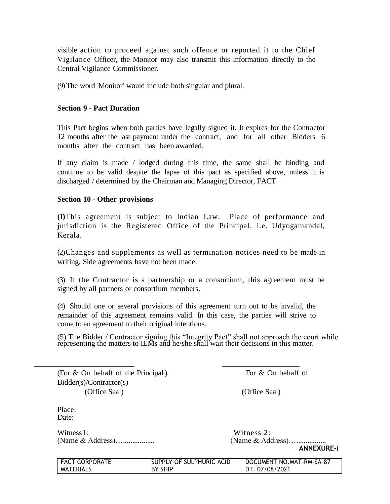visible action to proceed against such offence or reported it to the Chief Vigilance Officer, the Monitor may also transmit this information directly to the Central Vigilance Commissioner.

(9)The word 'Monitor' would include both singular and plural.

#### **Section 9 - Pact Duration**

This Pact begins when both parties have legally signed it. It expires for the Contractor 12 months after the last payment under the contract, and for all other Bidders 6 months after the contract has been awarded.

If any claim is made / lodged during this time, the same shall be binding and continue to be valid despite the lapse of this pact as specified above, unless it is discharged / determined by the Chairman and Managing Director, FACT

#### **Section 10** - **Other provisions**

**(1)**This agreement is subject to Indian Law. Place of performance and jurisdiction is the Registered Office of the Principal, i.e. Udyogamandal, Kerala.

(2)Changes and supplements as well as termination notices need to be made in writing. Side agreements have not been made.

(3) If the Contractor is a partnership or a consortium, this agreement must be signed by all partners or consortium members.

(4) Should one or several provisions of this agreement turn out to be invalid, the remainder of this agreement remains valid. In this case, the parties will strive to come to an agreement to their original intentions.

(5) The Bidder / Contractor signing this "Integrity Pact" shall not approach the court while representing the matters to IEMs and he/she shall wait their decisions in this matter.

(For  $\&$  On behalf of the Principal) For  $\&$  On behalf of Bidder(s)/Contractor(s) (Office Seal) (Office Seal)

Place: Date:

Witness1: Witness 2: (Name & Address)…................. (Name & Address)…................

**ANNEXURE-i**

| <b>FACT CORPORATE</b> | SUPPLY OF SULPHURIC ACID | DOCUMENT NO.MAT-RM-SA-87 |
|-----------------------|--------------------------|--------------------------|
| MATERIALS             | <b>BY SHIP</b>           | DT. 07/08/2021           |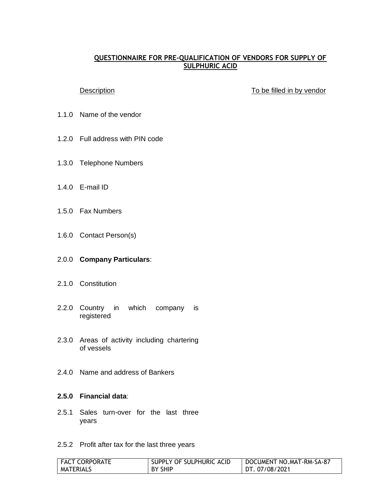#### **QUESTIONNAIRE FOR PRE-QUALIFICATION OF VENDORS FOR SUPPLY OF SULPHURIC ACID**

Description **Description Description To be filled in by vendor** 

- 1.1.0 Name of the vendor
- 1.2.0 Full address with PIN code
- 1.3.0 Telephone Numbers
- 1.4.0 E-mail ID
- 1.5.0 Fax Numbers
- 1.6.0 Contact Person(s)

#### 2.0.0 **Company Particulars**:

- 2.1.0 Constitution
- 2.2.0 Country in which company is registered
- 2.3.0 Areas of activity including chartering of vessels
- 2.4.0 Name and address of Bankers

#### **2.5.0 Financial data**:

- 2.5.1 Sales turn-over for the last three years
- 2.5.2 Profit after tax for the last three years

| <b>FACT CORPORATE</b> | SUPPLY OF SULPHURIC ACID | DOCUMENT NO.MAT-RM-SA-87 |
|-----------------------|--------------------------|--------------------------|
| <b>MATERIALS</b>      | BY SHIP                  | DT. 07/08/2021           |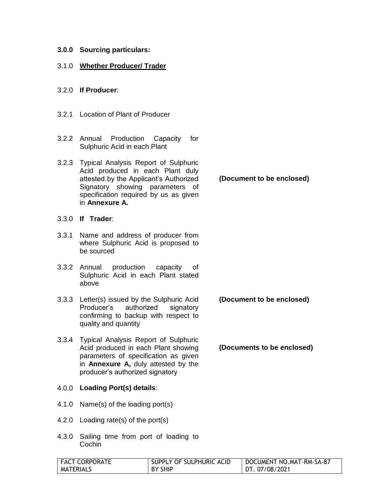#### **3.0.0 Sourcing particulars:**

#### 3.1.0 **Whether Producer/ Trader**

#### 3.2.0 **If Producer**:

- 3.2.1 Location of Plant of Producer
- 3.2.2 Annual Production Capacity for Sulphuric Acid in each Plant
- 3.2.3 Typical Analysis Report of Sulphuric Acid produced in each Plant duly attested by the Applicant's Authorized Signatory showing parameters of specification required by us as given in **Annexure A.**
- 3.3.0 **If Trader**:
- 3.3.1 Name and address of producer from where Sulphuric Acid is proposed to be sourced
- 3.3.2 Annual production capacity of Sulphuric Acid in each Plant stated above
- 3.3.3 Letter(s) issued by the Sulphuric Acid Producer's authorized signatory confirming to backup with respect to quality and quantity
- 3.3.4 Typical Analysis Report of Sulphuric Acid produced in each Plant showing parameters of specification as given in **Annexure A,** duly attested by the producer's authorized signatory

#### 4.0.0 **Loading Port(s) details**:

- 4.1.0 Name(s) of the loading port(s)
- 4.2.0 Loading rate(s) of the port(s)
- 4.3.0 Sailing time from port of loading to **Cochin**

| I FACT CORPORATE | SUPPLY OF SULPHURIC ACID | DOCUMENT NO.MAT-RM-SA-87 |
|------------------|--------------------------|--------------------------|
| <b>MATERIALS</b> | <b>BY SHIP</b>           | DT. 07/08/2021           |

#### **(Document to be enclosed)**

**(Document to be enclosed)**

**(Documents to be enclosed)**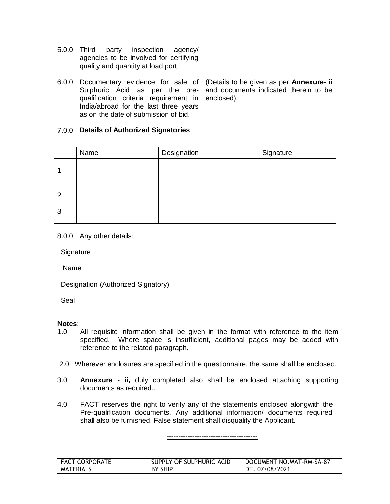- 5.0.0 Third party inspection agency/ agencies to be involved for certifying quality and quantity at load port
- 6.0.0 Documentary evidence for sale of (Details to be given as per **Annexure- ii** qualification criteria requirement in enclosed). India/abroad for the last three years as on the date of submission of bid.

Sulphuric Acid as per the pre-and documents indicated therein to be

#### 7.0.0 **Details of Authorized Signatories**:

|                | Name | Designation | Signature |
|----------------|------|-------------|-----------|
|                |      |             |           |
| $\overline{2}$ |      |             |           |
| 3              |      |             |           |

8.0.0 Any other details:

**Signature** 

Name

Designation (Authorized Signatory)

Seal

#### **Notes**:

- 1.0 All requisite information shall be given in the format with reference to the item specified. Where space is insufficient, additional pages may be added with reference to the related paragraph.
- 2.0 Wherever enclosures are specified in the questionnaire, the same shall be enclosed.
- 3.0 **Annexure - ii,** duly completed also shall be enclosed attaching supporting documents as required..
- 4.0 FACT reserves the right to verify any of the statements enclosed alongwith the Pre-qualification documents. Any additional information/ documents required shall also be furnished. False statement shall disqualify the Applicant.

**---------------------------------------**

| <b>FACT CORPORATE</b> | SUPPLY OF SULPHURIC ACID | DOCUMENT NO.MAT-RM-SA-87 |
|-----------------------|--------------------------|--------------------------|
| MATERIALS             | BY SHIP                  | DT. 07/08/2021           |